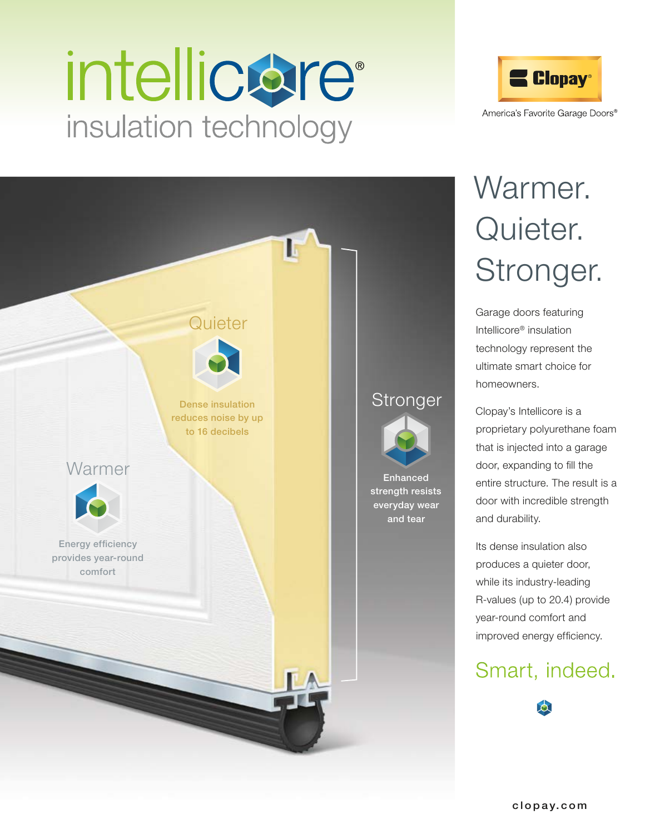# intellicare<sup>®</sup> insulation technology



## **Warmer Stronger Quieter** Dense insulation reduces noise by up to 16 decibels Energy efficiency provides year-round comfort Enhanced strength resists everyday wear and tear

### Warmer. Quieter. Stronger.

Garage doors featuring Intellicore® insulation technology represent the ultimate smart choice for homeowners.

Clopay's Intellicore is a proprietary polyurethane foam that is injected into a garage door, expanding to fill the entire structure. The result is a door with incredible strength and durability.

Its dense insulation also produces a quieter door, while its industry-leading R-values (up to 20.4) provide year-round comfort and improved energy efficiency.

#### Smart, indeed.

 $\bullet$